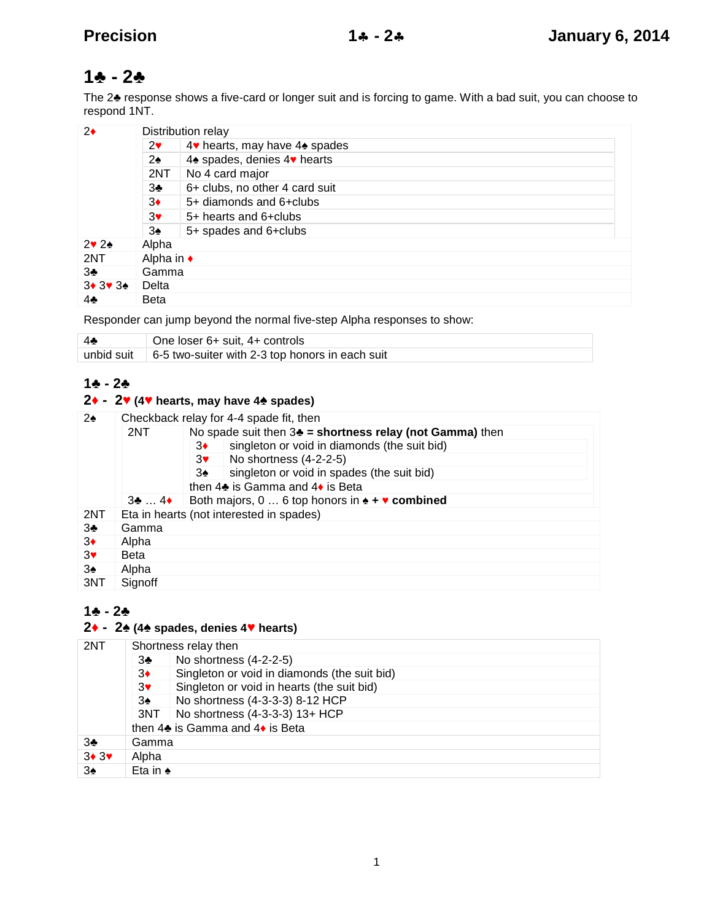# $1 - 2$

The 2 response shows a five-card or longer suit and is forcing to game. With a bad suit, you can choose to respond 1NT.

| 2     | Distribution relay |                                |  |
|-------|--------------------|--------------------------------|--|
|       | 2                  | 4 hearts, may have 4 spades    |  |
|       | $\overline{2}$     | 4 spades, denies 4 hearts      |  |
|       | 2NT                | No 4 card major                |  |
|       | 3                  | 6+ clubs, no other 4 card suit |  |
|       | 3                  | 5+ diamonds and 6+clubs        |  |
|       | 3                  | 5+ hearts and 6+clubs          |  |
|       | 3                  | 5+ spades and 6+clubs          |  |
| 2 2   | Alpha              |                                |  |
| 2NT   | Alpha in           |                                |  |
| 3     | Gamma              |                                |  |
| 3 3 3 | Delta              |                                |  |
|       | <b>Beta</b>        |                                |  |

Responder can jump beyond the normal five-step Alpha responses to show:

| One loser 6+ suit, 4+ controls                                     |
|--------------------------------------------------------------------|
| unbid suit $\vert 6.5$ two-suiter with 2-3 top honors in each suit |

### $1 - 2$

## **- 2 (4 hearts, may have 4 spades)**

| $\mathcal{P}$ | Checkback relay for 4-4 spade fit, then |                                                           |  |
|---------------|-----------------------------------------|-----------------------------------------------------------|--|
|               | 2NT                                     | No spade suit then $3 =$ shortness relay (not Gamma) then |  |
|               |                                         | singleton or void in diamonds (the suit bid)<br>3         |  |
|               |                                         | No shortness (4-2-2-5)<br>3                               |  |
|               |                                         | singleton or void in spades (the suit bid)<br>3           |  |
|               |                                         | then 4 is Gamma and 4 is Beta                             |  |
|               | $3 \ldots 4$                            | Both majors, $0 \ldots 6$ top honors in $\div$ combined   |  |
| 2NT           |                                         | Eta in hearts (not interested in spades)                  |  |
| 3             | Gamma                                   |                                                           |  |
| 3             | Alpha                                   |                                                           |  |
| 3             | <b>Beta</b>                             |                                                           |  |
| 3             | Alpha                                   |                                                           |  |
| 3NT           | Signoff                                 |                                                           |  |

## $1 - 2$

## **- 2 (4 spades, denies 4 hearts)**

| 2NT            | Shortness relay then |                                              |  |
|----------------|----------------------|----------------------------------------------|--|
|                | 3                    | No shortness (4-2-2-5)                       |  |
|                | 3                    | Singleton or void in diamonds (the suit bid) |  |
|                | 3                    | Singleton or void in hearts (the suit bid)   |  |
|                | 3                    | No shortness (4-3-3-3) 8-12 HCP              |  |
|                |                      | 3NT   No shortness (4-3-3-3) 13+ HCP         |  |
|                |                      | then 4 is Gamma and 4 is Beta                |  |
|                | Gamma                |                                              |  |
| 3 <sub>3</sub> | Alpha                |                                              |  |
| 3              | Eta in               |                                              |  |